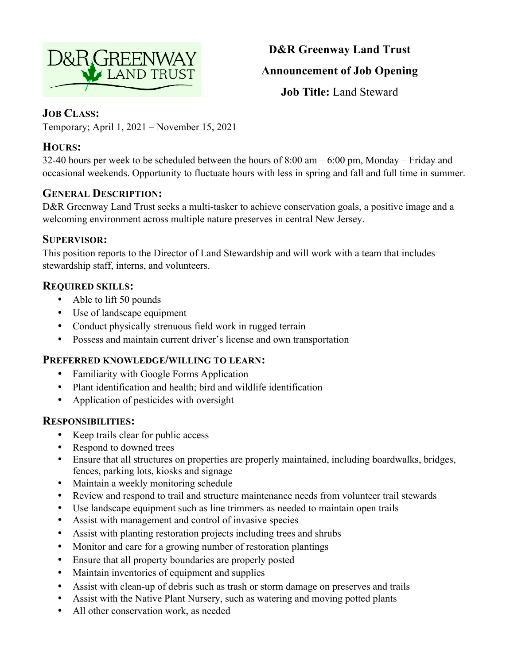

# **D&R Greenway Land Trust Announcement of Job Opening**

**Job Title:** Land Steward

## **JOB CLASS:**

Temporary; April 1, 2021 – November 15, 2021

## **HOURS:**

32-40 hours per week to be scheduled between the hours of 8:00 am – 6:00 pm, Monday – Friday and occasional weekends. Opportunity to fluctuate hours with less in spring and fall and full time in summer.

## **GENERAL DESCRIPTION:**

D&R Greenway Land Trust seeks a multi-tasker to achieve conservation goals, a positive image and a welcoming environment across multiple nature preserves in central New Jersey.

### **SUPERVISOR:**

This position reports to the Director of Land Stewardship and will work with a team that includes stewardship staff, interns, and volunteers.

## **REQUIRED SKILLS:**

- Able to lift 50 pounds
- Use of landscape equipment
- Conduct physically strenuous field work in rugged terrain
- Possess and maintain current driver's license and own transportation

## **PREFERRED KNOWLEDGE/WILLING TO LEARN:**

- Familiarity with Google Forms Application
- Plant identification and health; bird and wildlife identification
- Application of pesticides with oversight

## **RESPONSIBILITIES:**

- Keep trails clear for public access
- Respond to downed trees
- Ensure that all structures on properties are properly maintained, including boardwalks, bridges, fences, parking lots, kiosks and signage
- Maintain a weekly monitoring schedule
- Review and respond to trail and structure maintenance needs from volunteer trail stewards
- Use landscape equipment such as line trimmers as needed to maintain open trails
- Assist with management and control of invasive species
- Assist with planting restoration projects including trees and shrubs
- Monitor and care for a growing number of restoration plantings
- Ensure that all property boundaries are properly posted
- Maintain inventories of equipment and supplies
- Assist with clean-up of debris such as trash or storm damage on preserves and trails
- Assist with the Native Plant Nursery, such as watering and moving potted plants
- All other conservation work, as needed